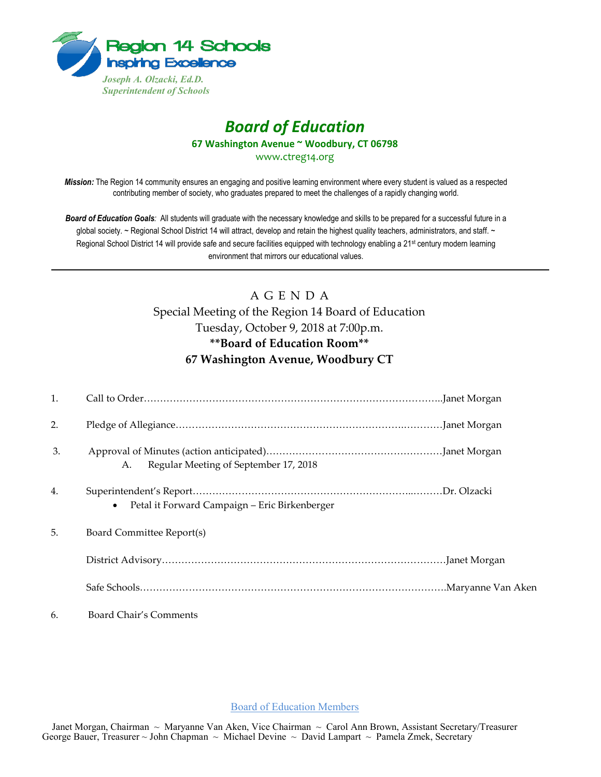

## *Board of Education* **67 Washington Avenue ~ Woodbury, CT 06798**

www.ctreg14.org

*Mission:* The Region 14 community ensures an engaging and positive learning environment where every student is valued as a respected contributing member of society, who graduates prepared to meet the challenges of a rapidly changing world.

*Board of Education Goals:* All students will graduate with the necessary knowledge and skills to be prepared for a successful future in a global society. ~ Regional School District 14 will attract, develop and retain the highest quality teachers, administrators, and staff. ~ Regional School District 14 will provide safe and secure facilities equipped with technology enabling a 21<sup>st</sup> century modern learning environment that mirrors our educational values.

## A G E N D A Special Meeting of the Region 14 Board of Education Tuesday, October 9, 2018 at 7:00p.m. **\*\*Board of Education Room\*\* 67 Washington Avenue, Woodbury CT**

| 1. |                                               |
|----|-----------------------------------------------|
| 2. |                                               |
| 3. | Regular Meeting of September 17, 2018<br>A.   |
| 4. | Petal it Forward Campaign – Eric Birkenberger |
| 5. | Board Committee Report(s)                     |
|    |                                               |
|    |                                               |
| 6. | Board Chair's Comments                        |

Board of Education Members